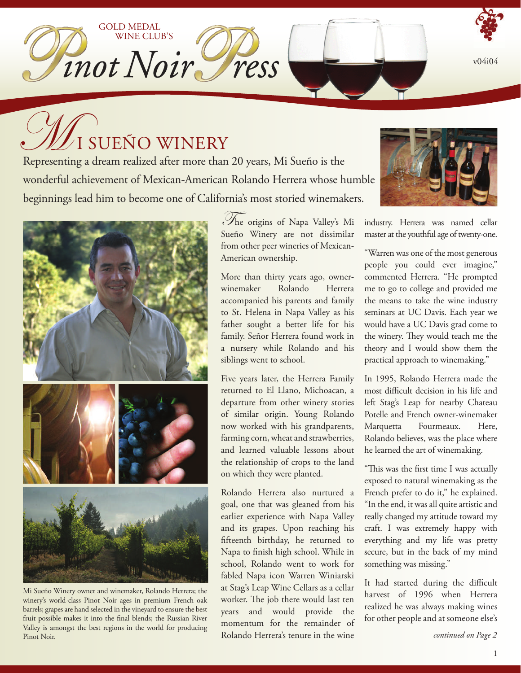v04i04

# $\mathcal{U}_\mathrm{I}$  sueño winery

GOLD MEDAL

WINE CLUB'S

Inot Noir ress

Representing a dream realized after more than 20 years, Mi Sueño is the wonderful achievement of Mexican-American Rolando Herrera whose humble beginnings lead him to become one of California's most storied winemakers.



Mi Sueño Winery owner and winemaker, Rolando Herrera; the winery's world-class Pinot Noir ages in premium French oak barrels; grapes are hand selected in the vineyard to ensure the best fruit possible makes it into the final blends; the Russian River Valley is amongst the best regions in the world for producing Pinot Noir.

 he origins of Napa Valley's Mi T Sueño Winery are not dissimilar from other peer wineries of Mexican-American ownership.

More than thirty years ago, ownerwinemaker Rolando Herrera accompanied his parents and family to St. Helena in Napa Valley as his father sought a better life for his family. Señor Herrera found work in a nursery while Rolando and his siblings went to school.

Five years later, the Herrera Family returned to El Llano, Michoacan, a departure from other winery stories of similar origin. Young Rolando now worked with his grandparents, farming corn, wheat and strawberries, and learned valuable lessons about the relationship of crops to the land on which they were planted.

Rolando Herrera also nurtured a goal, one that was gleaned from his earlier experience with Napa Valley and its grapes. Upon reaching his fifteenth birthday, he returned to Napa to finish high school. While in school, Rolando went to work for fabled Napa icon Warren Winiarski at Stag's Leap Wine Cellars as a cellar worker. The job there would last ten years and would provide the momentum for the remainder of Rolando Herrera's tenure in the wine



industry. Herrera was named cellar master at the youthful age of twenty-one.

"Warren was one of the most generous people you could ever imagine," commented Herrera. "He prompted me to go to college and provided me the means to take the wine industry seminars at UC Davis. Each year we would have a UC Davis grad come to the winery. They would teach me the theory and I would show them the practical approach to winemaking."

In 1995, Rolando Herrera made the most difficult decision in his life and left Stag's Leap for nearby Chateau Potelle and French owner-winemaker Marquetta Fourmeaux. Here, Rolando believes, was the place where he learned the art of winemaking.

"This was the first time I was actually exposed to natural winemaking as the French prefer to do it," he explained. "In the end, it was all quite artistic and really changed my attitude toward my craft. I was extremely happy with everything and my life was pretty secure, but in the back of my mind something was missing."

It had started during the difficult harvest of 1996 when Herrera realized he was always making wines for other people and at someone else's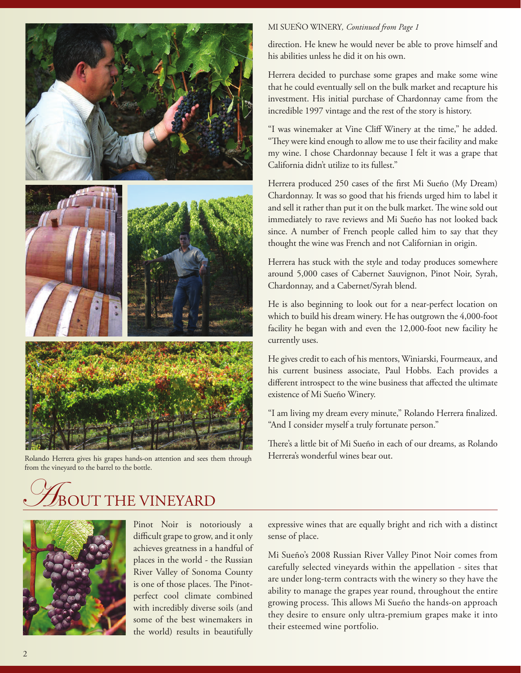

Rolando Herrera gives his grapes hands-on attention and sees them through Herrera's wonderful wines bear out. from the vineyard to the barrel to the bottle.

### MI SUEÑO WINERY*, Continued from Page 1*

direction. He knew he would never be able to prove himself and his abilities unless he did it on his own.

Herrera decided to purchase some grapes and make some wine that he could eventually sell on the bulk market and recapture his investment. His initial purchase of Chardonnay came from the incredible 1997 vintage and the rest of the story is history.

"I was winemaker at Vine Cliff Winery at the time," he added. "They were kind enough to allow me to use their facility and make my wine. I chose Chardonnay because I felt it was a grape that California didn't utilize to its fullest."

Herrera produced 250 cases of the first Mi Sueño (My Dream) Chardonnay. It was so good that his friends urged him to label it and sell it rather than put it on the bulk market. The wine sold out immediately to rave reviews and Mi Sueño has not looked back since. A number of French people called him to say that they thought the wine was French and not Californian in origin.

Herrera has stuck with the style and today produces somewhere around 5,000 cases of Cabernet Sauvignon, Pinot Noir, Syrah, Chardonnay, and a Cabernet/Syrah blend.

He is also beginning to look out for a near-perfect location on which to build his dream winery. He has outgrown the 4,000-foot facility he began with and even the 12,000-foot new facility he currently uses.

He gives credit to each of his mentors, Winiarski, Fourmeaux, and his current business associate, Paul Hobbs. Each provides a different introspect to the wine business that affected the ultimate existence of Mi Sueño Winery.

"I am living my dream every minute," Rolando Herrera finalized. "And I consider myself a truly fortunate person."

There's a little bit of Mi Sueño in each of our dreams, as Rolando

## T THE VINEYARD



Pinot Noir is notoriously a difficult grape to grow, and it only achieves greatness in a handful of places in the world - the Russian River Valley of Sonoma County is one of those places. The Pinotperfect cool climate combined with incredibly diverse soils (and some of the best winemakers in the world) results in beautifully

expressive wines that are equally bright and rich with a distinct sense of place.

Mi Sueño's 2008 Russian River Valley Pinot Noir comes from carefully selected vineyards within the appellation - sites that are under long-term contracts with the winery so they have the ability to manage the grapes year round, throughout the entire growing process. This allows Mi Sueño the hands-on approach they desire to ensure only ultra-premium grapes make it into their esteemed wine portfolio.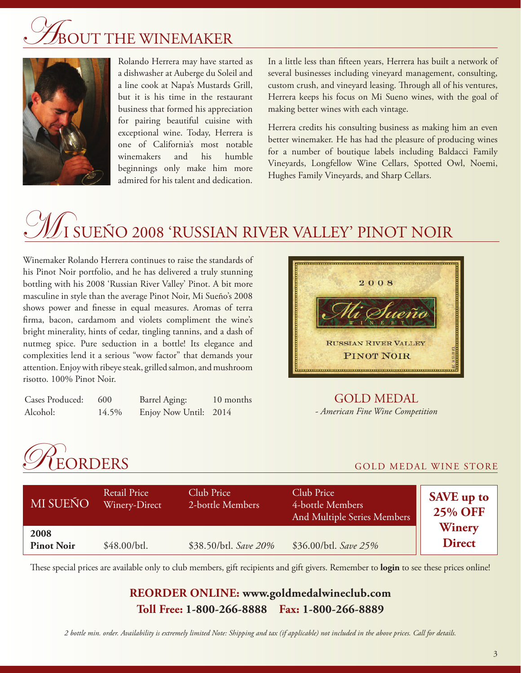## **DUT THE WINEMAKER**



Rolando Herrera may have started as a dishwasher at Auberge du Soleil and a line cook at Napa's Mustards Grill, but it is his time in the restaurant business that formed his appreciation for pairing beautiful cuisine with exceptional wine. Today, Herrera is one of California's most notable winemakers and his humble beginnings only make him more admired for his talent and dedication.

In a little less than fifteen years, Herrera has built a network of several businesses including vineyard management, consulting, custom crush, and vineyard leasing. Through all of his ventures, Herrera keeps his focus on Mi Sueno wines, with the goal of making better wines with each vintage.

Herrera credits his consulting business as making him an even better winemaker. He has had the pleasure of producing wines for a number of boutique labels including Baldacci Family Vineyards, Longfellow Wine Cellars, Spotted Owl, Noemi, Hughes Family Vineyards, and Sharp Cellars.

# I SUEÑO 2008 'RUSSIAN RIV<u>ER VALLEY' PINOT NOIR </u>

Winemaker Rolando Herrera continues to raise the standards of his Pinot Noir portfolio, and he has delivered a truly stunning bottling with his 2008 'Russian River Valley' Pinot. A bit more masculine in style than the average Pinot Noir, Mi Sueño's 2008 shows power and finesse in equal measures. Aromas of terra firma, bacon, cardamom and violets compliment the wine's bright minerality, hints of cedar, tingling tannins, and a dash of nutmeg spice. Pure seduction in a bottle! Its elegance and complexities lend it a serious "wow factor" that demands your attention. Enjoy with ribeye steak, grilled salmon, and mushroom risotto. 100% Pinot Noir.

| Cases Produced: 600 |       | Barrel Aging:         | 10 months |
|---------------------|-------|-----------------------|-----------|
| Alcohol:            | 14.5% | Enjoy Now Until: 2014 |           |



## GOLD MEDAL *- American Fine Wine Competition*



| MI SUEÑO                  | Retail Price<br>Winery-Direct | Club Price<br>2-bottle Members | Club Price<br>4-bottle Members<br>And Multiple Series Members | <b>SAVE</b> up to<br><b>25% OFF</b><br>Winery<br><b>Direct</b> |
|---------------------------|-------------------------------|--------------------------------|---------------------------------------------------------------|----------------------------------------------------------------|
| 2008<br><b>Pinot Noir</b> | \$48.00/btl.                  | \$38.50/btl. Save 20%          | \$36.00/btl. Save 25%                                         |                                                                |

These special prices are available only to club members, gift recipients and gift givers. Remember to **login** to see these prices online!

## **REORDER ONLINE: www.goldmedalwineclub.com Toll Free: 1-800-266-8888 Fax: 1-800-266-8889**

*2 bottle min. order. Availability is extremely limited Note: Shipping and tax (if applicable) not included in the above prices. Call for details.*